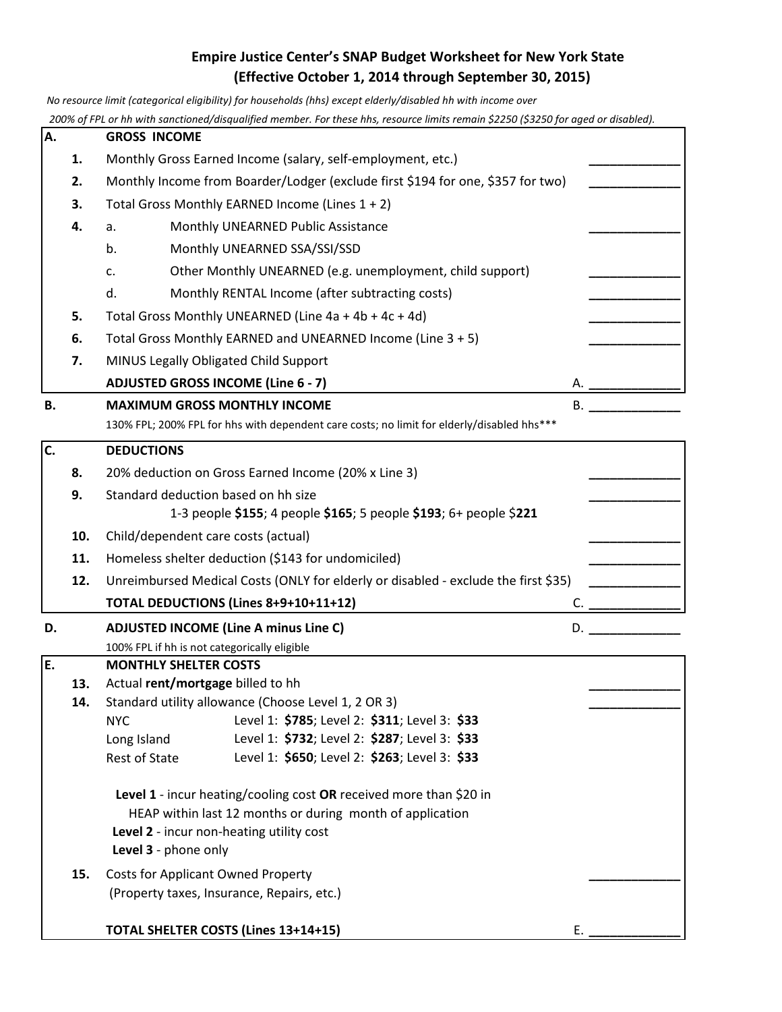## **Empire Justice Center's SNAP Budget Worksheet for New York State (Effective October 1, 2014 through September 30, 2015)**

 *No resource limit (categorical eligibility) for households (hhs) except elderly/disabled hh with income over*

 *200% of FPL or hh with sanctioned/disqualified member. For these hhs, resource limits remain \$2250 (\$3250 for aged or disabled).*  **A. GROSS INCOME 1.** Monthly Gross Earned Income (salary, self-employment, etc.) **2.** Monthly Income from Boarder/Lodger (exclude first \$194 for one, \$357 for two) **3.** Total Gross Monthly EARNED Income (Lines 1 + 2) **4.** a. Monthly UNEARNED Public Assistance **\_\_\_\_\_\_\_\_\_\_\_\_\_** b. Monthly UNEARNED SSA/SSI/SSD c. Other Monthly UNEARNED (e.g. unemployment, child support) **\_\_\_\_\_\_\_\_\_\_\_\_\_** d. Monthly RENTAL Income (after subtracting costs) **\_\_\_\_\_\_\_\_\_\_\_\_\_ 5.** Total Gross Monthly UNEARNED (Line 4a + 4b + 4c + 4d) **6.** Total Gross Monthly EARNED and UNEARNED Income (Line 3 + 5) **\_\_\_\_\_\_\_\_\_\_\_\_\_ 7.** MINUS Legally Obligated Child Support **ADJUSTED GROSS INCOME (Line 6 - 7) B. MAXIMUM GROSS MONTHLY INCOME B.**  $\blacksquare$  **B.**  $\blacksquare$ 130% FPL; 200% FPL for hhs with dependent care costs; no limit for elderly/disabled hhs\*\*\* **C. DEDUCTIONS 8.** 20% deduction on Gross Earned Income (20% x Line 3) **\_\_\_\_\_\_\_\_\_\_\_\_\_ 9.** Standard deduction based on hh size **\_\_\_\_\_\_\_\_\_\_\_\_\_** 1-3 people **\$155**; 4 people **\$165**; 5 people **\$193**; 6+ people \$**221 10.** Child/dependent care costs (actual) **\_\_\_\_\_\_\_\_\_\_\_\_\_** 11. Homeless shelter deduction (\$143 for undomiciled) **12.** Unreimbursed Medical Costs (ONLY for elderly or disabled - exclude the first \$35) **TOTAL DEDUCTIONS (Lines 8+9+10+11+12)** C. **\_\_\_\_\_\_\_\_\_\_\_\_\_ D. ADJUSTED INCOME (Line A minus Line C)** D. **\_\_\_\_\_\_\_\_\_\_\_\_\_** 100% FPL if hh is not categorically eligible **E. MONTHLY SHELTER COSTS 13.** Actual **rent/mortgage** billed to hh **14.** Standard utility allowance (Choose Level 1, 2 OR 3) NYC Level 1: **\$785**; Level 2: **\$311**; Level 3: **\$33** Long Island Level 1: **\$732**; Level 2: **\$287**; Level 3: **\$33** Rest of State Level 1: **\$650**; Level 2: **\$263**; Level 3: **\$33 Level 1** - incur heating/cooling cost **OR** received more than \$20 in HEAP within last 12 months or during month of application **Level 2** - incur non-heating utility cost **Level 3** - phone only **15.** Costs for Applicant Owned Property **\_\_\_\_\_\_\_\_\_\_\_\_\_** (Property taxes, Insurance, Repairs, etc.)

**TOTAL SHELTER COSTS (Lines 13+14+15)** E. **\_\_\_\_\_\_\_\_\_\_\_\_\_**